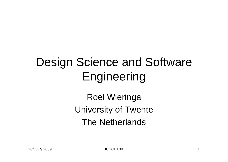## Design Science and Software Engineering

Roel Wieringa University of Twente The Netherlands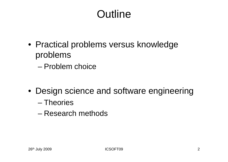#### **Outline**

- Practical problems versus knowledge problems
	- Problem choice
- Design science and software engineering
	- Theories
	- Research methods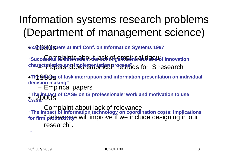#### Information systems research problems (Department of management science)

**Exam@@@gpers at Int'l Conf. on Information Systems 1997:** 

"SuccessPMP9 **AintSadoR.4heacktPfgenPB6ffFAbutioN346f** innovation characteristics and implementation process<sup>"</sup>ds for IS research

• 1990s **"The effects of task interruption and information presentation on individual decision making"**

–Empirical papers

• 2000s **"The impact of CASE on IS professionals' work and motivation to use CASE**"

–Complaint about lack of relevance –"Relevance will improve if we include designing in our research". **"The impact of information technology on coordination costs: implications**  for f<del>irm <mark>prod</mark>uctiving "</mark></del>

....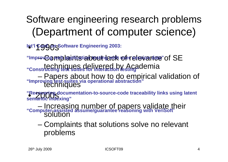#### Software engineering research problems (Department of computer science)

**Int'l Cong OpsSoftware Engineering 2003:** 

–"Improving web lacinits tightes tin taxith user session date" of SE techniques delivered by Academia **"Constructing test suites for interaction testing"**

– Papers about how to do empirical validation of techniques **"Improving test suites via operational abstraction"**

"Recovering documentation-to-source-code traceability links using latent **semantic indexing"**

 Increasing number of papers validate their solution **"Computer-assisted assume/guarantee reasoning with VeriSoft**"

– Complaints that solutions solve no relevant problems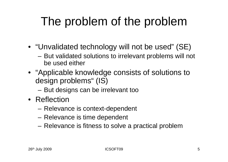# The problem of the problem

- "Unvalidated technology will not be used" (SE)
	- But validated solutions to irrelevant problems will not be used either
- "Applicable knowledge consists of solutions to design problems" (IS)
	- –But designs can be irrelevant too
- Reflection
	- Relevance is context-dependent
	- Relevance is time dependent
	- Relevance is fitness to solve a practical problem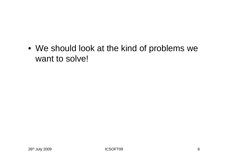• We should look at the kind of problems we want to solve!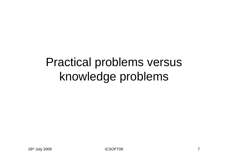## Practical problems versus knowledge problems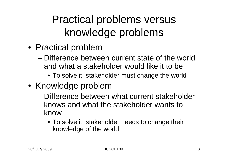#### Practical problems versus knowledge problems

- Practical problem
	- Difference between current state of the worldand what a stakeholder would like it to be
		- To solve it, stakeholder must change the world
- Knowledge problem
	- Difference between what current stakeholder knows and what the stakeholder wants to know
		- To solve it, stakeholder needs to change their knowledge of the world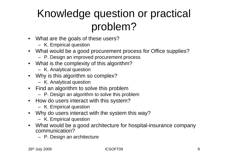#### Knowledge question or practical problem?

- What are the goals of these users?
	- K. Empirical question
- What would be a good procurement process for Office supplies?
	- P. Design an improved procurement process
- What is the complexity of this algorithm?
	- K. Analytical question
- Why is this algorithm so complex?
	- K. Analytical question
- Find an algorithm to solve this problem
	- P. Design an algorithm to solve this problem
- How do users interact with this system?
	- K. Empirical question
- • Why do users interact with the system this way?
	- K. Empirical question
- What would be a good architecture for hospital-insurance company communication?
	- P. Design an architecture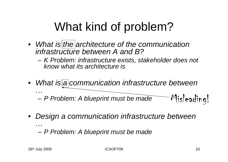## What kind of problem?

- *What is the architecture of the communication infrastructure between A and B?*
	- – *K Problem: infrastructure exists, stakeholder does not know what its architecture is*
- *What is a communication infrastructure between*

– *P Problem: A blueprint must be made* Misleading!

 $\bullet$  *Design a communication infrastructure between …*

*P Problem: A blueprint must be made*

*…*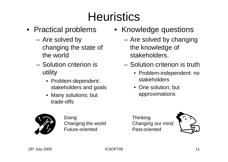## **Heuristics**

- Practical problems
	- Are solved by changing the state of the world
	- Solution criterion is utility
		- Problem-dependent: stakeholders and goals
		- Many solutions; but trade-offs
	-

Doing Changing the world Future-oriented

- Knowledge questions
	- Are solved by changing the knowledge of stakeholders.
	- Solution criterion is truth
		- Problem-independent: no stakeholders
		- One solution; but approximations



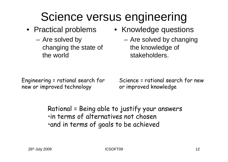## Science versus engineering

- - Are solved by changing the state of the world
- Practical problems Knowledge questions
	- Are solved by changing the knowledge of stakeholders.

Engineering = rational search for new or improved technology

Science = rational search for new or improved knowledge

Rational = Being able to justify your answers •in terms of alternatives not chosen •and in terms of goals to be achieved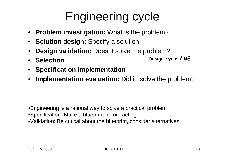## Engineering cycle

- •**Problem investigation:** What is the problem?
- $\bullet$ **Solution design:** Specify a solution
- •**Design validation:** Does it solve the problem?
- $\bullet$  **SelectionDesign cycle / RE**
- **Specification implementation**
- $\bullet$ **Implementation evaluation:** Did it solve the problem?

•Engineering is a rational way to solve a practical problem

- •Specification: Make a blueprint before acting
- •Validation: Be critical about the blueprint, consider alternatives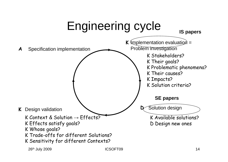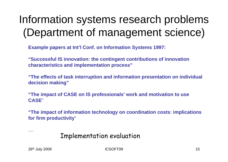#### Information systems research problems (Department of management science)

**Example papers at Int'l Conf. on Information Systems 1997:**

**"Successful IS innovation: the contingent contributions of innovation characteristics and implementation process"**

**"The effects of task interruption and information presentation on individual decision making"**

**"The impact of CASE on IS professionals' work and motivation to use CASE**"

**"The impact of information technology on coordination costs: implications for firm productivity**"

Implementation evaluation

....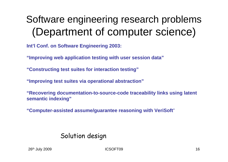#### Software engineering research problems (Department of computer science)

**Int'l Conf. on Software Engineering 2003:**

**"Improving web application testing with user session data"**

**"Constructing test suites for interaction testing"**

**"Improving test suites via operational abstraction"**

**"Recovering documentation-to-source-code traceability links using latent semantic indexing"**

**"Computer-assisted assume/guarantee reasoning with VeriSoft**"

#### Solution design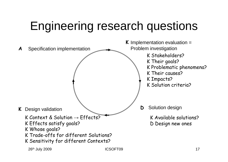## Engineering research questions

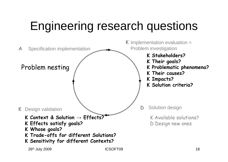## Engineering research questions

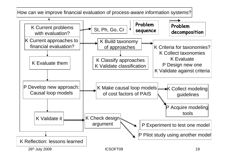26<sup>th</sup> July 2009 19 How can we improve financial evaluation of process-aware information systems? K Current problems with evaluation? K Current approaches to financial evaluation?St, Ph, Go, Cr K Build taxonomy of approaches K Classify approaches K Validate classificationK Criteria for taxonomies?K Collect taxonomiesK EvaluateP Design new one K Validate against criteria K Evaluate themP Develop new approach: Causal loop models K Make causal loop models of cost factors of PAIS**K** Collect modeling guidelines P Acquire modeling toolsK Validate it K Check design argument  $\sum_{n=1}^{\infty}$  P Experiment to test one model P Pilot study using another model K Reflection: lessons learned**Problem decomposition Problem sequence**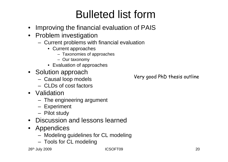#### Bulleted list form

- Improving the financial evaluation of PAIS
- Problem investigation
	- Current problems with financial evaluation
		- Current approaches
			- Taxonomies of approaches
			- Our taxonomy
		- Evaluation of approaches
- Solution approach
	- Causal loop models
	- CLDs of cost factors
- Validation
	- The engineering argument
	- Experiment
	- Pilot study
- Discussion and lessons learned
- Appendices
	- Modeling guidelines for CL modeling
	- Tools for CL modeling

26th July 2009 ICSOFT09 20

Very good PhD thesis outline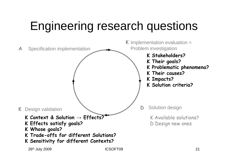## Engineering research questions

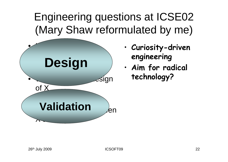#### Engineering questions at ICSE02 (Mary Shaw reformulated by me)



- • **Curiosity-driven engineering**
- • **Aim for radical technology?**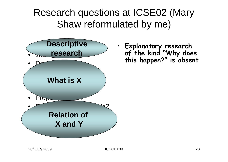Research questions at ICSE02 (Mary Shaw reformulated by me)



• **Explanatory research of the kind "Why does this happen?" is absent**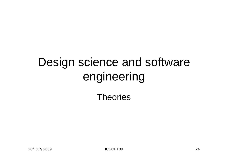# Design science and software engineering

#### **Theories**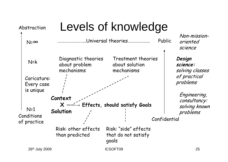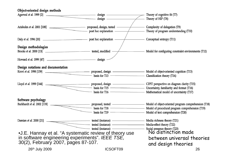| Object-oriented design methods                                                         |                                                                                                                                                                                                                                     |                                                                                                                                                                    |  |  |  |
|----------------------------------------------------------------------------------------|-------------------------------------------------------------------------------------------------------------------------------------------------------------------------------------------------------------------------------------|--------------------------------------------------------------------------------------------------------------------------------------------------------------------|--|--|--|
| Agarwal et al. 1999 [2]                                                                | design -<br>design —                                                                                                                                                                                                                | Theory of cognitive fit (T7)<br>Theory of HIP (T8)                                                                                                                 |  |  |  |
|                                                                                        | $\overline{\phantom{a}}$<br>post hoc explanation                                                                                                                                                                                    | Complexity of delegation (T9)<br>Theory of program understanding (T10)                                                                                             |  |  |  |
|                                                                                        |                                                                                                                                                                                                                                     | Conceptual entropy (T11)                                                                                                                                           |  |  |  |
| Design methodologies                                                                   |                                                                                                                                                                                                                                     | - Model for configuring constraint environments (T12)                                                                                                              |  |  |  |
|                                                                                        |                                                                                                                                                                                                                                     |                                                                                                                                                                    |  |  |  |
| Design notations and documentation                                                     | - basis for T13 - Classification theory (T14)                                                                                                                                                                                       |                                                                                                                                                                    |  |  |  |
|                                                                                        | Lloyd et al. 1999 [144] Proposea, assign Proposea, assign Directainty, familiarity and format (T16)<br>- proposed, design - CIPIT perspective on diagram clarity (T15)<br>- basis for T16 - Mathematical model of uncertainty (T17) |                                                                                                                                                                    |  |  |  |
| Software psychology                                                                    | basis for T19 —————————————————— Model of text comprehension (T20)                                                                                                                                                                  | 18) proposed, tested — Model of object-oriented program comprehension (T18)<br>Burkhardt et al. 2002 [119] proposed, tested procedural program comprehension (T19) |  |  |  |
| Damian et al. 2000 [21]                                                                | <b>EXECUTE:</b> The tested (instance) <b>CONFIDENTIAL CONFIDENT</b> Media richness theory (T21)<br>tested (instance) — Media-effect theory (T22)                                                                                    |                                                                                                                                                                    |  |  |  |
| in software engineering experiments". IEEE TSE,<br>30(2), February 2007, pages 87-107. | •J.E. Hannay et al. "A systematic review of theory use                                                                                                                                                                              | Social presence theory (T23)<br>No distinction made<br>between universal theories<br>and design theories                                                           |  |  |  |
| 26th July 2009                                                                         | <b>ICSOFT09</b>                                                                                                                                                                                                                     | 26                                                                                                                                                                 |  |  |  |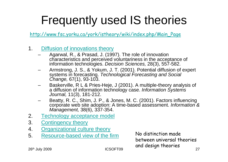## Frequently used IS theories

http://www.fsc.yorku.ca/york/istheory/wiki/index.php/Main\_Page

- 1. Diffusion of innovations theory
	- Agarwal, R., & Prasad, J. (1997). The role of innovation characteristics and perceived voluntariness in the acceptance of information technologies. *Decision Sciences,* 28(3), 557-582.
	- Armstrong, J. S., & Yokum, J. T. (2001). Potential diffusion of expert systems in forecasting. *Technological Forecasting and Social Change,* 67(1), 93-103.
	- Baskerville, R L & Pries-Heje, J (2001). A multiple-theory analysis of a diffusion of information technology case. *Information Systems Journal,* 11(3), 181-212.
	- Beatty, R. C., Shim, J. P., & Jones, M. C. (2001). Factors influencing corporate web site adoption: A time-based assessment. *Information & Management,* 38(6), 337-354.
- 2.Technology acceptance model
- 3. Contingency theory
- 4.Organizational culture theory
- 5. Resource-based view of the firm

26<sup>th</sup> July 2009 27 No distinction made between universal theories and design theories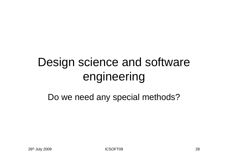## Design science and software engineering

Do we need any special methods?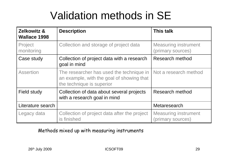#### Validation methods in SE

| <b>Zelkowitz &amp;</b><br><b>Wallace 1998</b> | <b>Description</b>                                                                                                 | <b>This talk</b>                                 |  |
|-----------------------------------------------|--------------------------------------------------------------------------------------------------------------------|--------------------------------------------------|--|
| Project<br>monitoring                         | Collection and storage of project data                                                                             | <b>Measuring instrument</b><br>(primary sources) |  |
| Case study                                    | Collection of project data with a research<br>goal in mind                                                         | <b>Research method</b>                           |  |
| <b>Assertion</b>                              | The researcher has used the technique in<br>an example, with the goal of showing that<br>the technique is superior | Not a research method                            |  |
| <b>Field study</b>                            | Collection of data about several projects<br>with a research goal in mind                                          | <b>Research method</b>                           |  |
| Literature search                             |                                                                                                                    | Metaresearch                                     |  |
| Legacy data                                   | Collection of project data after the project<br>is finished                                                        | <b>Measuring instrument</b><br>(primary sources) |  |

Methods mixed up with measuring instruments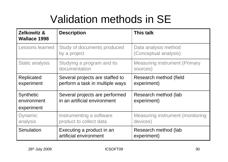### Validation methods in SE

| <b>Zelkowitz &amp;</b><br><b>Wallace 1998</b> | <b>Description</b>                                                 | <b>This talk</b>                                    |  |  |
|-----------------------------------------------|--------------------------------------------------------------------|-----------------------------------------------------|--|--|
| Lessons learned                               | Study of documents produced<br>by a project                        | Data analysis method<br>(Conceptual analysis)       |  |  |
| <b>Static analysis</b>                        | Studying a program and its<br>documentation                        | <b>Measuring instrument (Primary</b><br>sources)    |  |  |
| Replicated<br>experiment                      | Several projects are staffed to<br>perform a task in multiple ways | Research method (field<br>experiment)               |  |  |
| <b>Synthetic</b><br>environment<br>experiment | Several projects are performed<br>in an artificial environment     | Research method (lab<br>experiment)                 |  |  |
| <b>Dynamic</b><br>analysis                    | Instrumenting a software<br>product to collect data                | <b>Measuring instrument (monitoring</b><br>devices) |  |  |
| Simulation                                    | Executing a product in an<br>artificial environment                | Research method (lab<br>experiment)                 |  |  |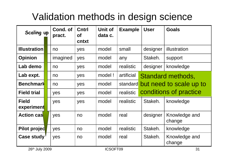#### Validation methods in design science

| Scaling up                 | Cond. of<br>pract. | <b>Cntrl</b><br><b>of</b><br>cntxt | Unit of<br>data c. | <b>Example</b> | <b>User</b> | <b>Goals</b>             |
|----------------------------|--------------------|------------------------------------|--------------------|----------------|-------------|--------------------------|
| <b>Illustration</b>        | no                 | yes                                | model              | small          | designer    | illustration             |
| <b>Opinion</b>             | imagined           | yes                                | model              | any            | Stakeh.     | support                  |
| Lab demo                   | no                 | yes                                | model              | realistic      | designer    | knowledge                |
| Lab expt.                  | no                 | yes                                | model!             | artificial     |             | <b>Standard methods,</b> |
| <b>Benchmark</b>           | no                 | yes                                | model              | standard       |             | but need to scale up to  |
| <b>Field trial</b>         | yes                | yes                                | model              | realistic      |             | conditions of practice   |
| <b>Field</b><br>experiment | yes                | yes                                | model              | realistic      | Stakeh.     | knowledge                |
| <b>Action cas</b>          | yes                | no                                 | model              | real           | designer    | Knowledge and<br>change  |
| <b>Pilot projed</b>        | yes                | no                                 | model              | realistic      | Stakeh.     | knowledge                |
| Case study                 | yes                | no                                 | model              | real           | Stakeh.     | Knowledge and<br>change  |
| 26th July 2009             |                    |                                    | <b>ICSOFT09</b>    |                |             | 31                       |